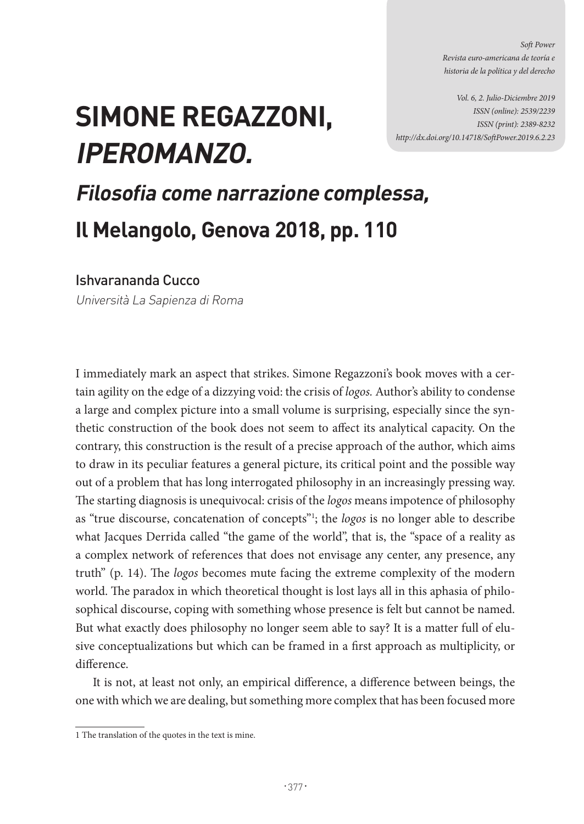*Soft Power Revista euro-americana de teoría e historia de la política y del derecho* 

*Vol. 6, 2. Julio-Diciembre 2019 ISSN (online): 2539/2239 ISSN (print): 2389-8232 http://dx.doi.org/10.14718/SoftPower.2019.6.2.23*

## **SIMONE REGAZZONI, IPEROMANZO.**

## **Filosofia come narrazione complessa, Il Melangolo, Genova 2018, pp. 110**

Ishvarananda Cucco

Università La Sapienza di Roma

I immediately mark an aspect that strikes. Simone Regazzoni's book moves with a certain agility on the edge of a dizzying void: the crisis of *logos.* Author's ability to condense a large and complex picture into a small volume is surprising, especially since the synthetic construction of the book does not seem to affect its analytical capacity. On the contrary, this construction is the result of a precise approach of the author, which aims to draw in its peculiar features a general picture, its critical point and the possible way out of a problem that has long interrogated philosophy in an increasingly pressing way. The starting diagnosis is unequivocal: crisis of the *logos* means impotence of philosophy as "true discourse, concatenation of concepts"1 ; the *logos* is no longer able to describe what Jacques Derrida called "the game of the world", that is, the "space of a reality as a complex network of references that does not envisage any center, any presence, any truth" (p. 14). The *logos* becomes mute facing the extreme complexity of the modern world. The paradox in which theoretical thought is lost lays all in this aphasia of philosophical discourse, coping with something whose presence is felt but cannot be named. But what exactly does philosophy no longer seem able to say? It is a matter full of elusive conceptualizations but which can be framed in a first approach as multiplicity, or difference.

It is not, at least not only, an empirical difference, a difference between beings, the one with which we are dealing, but something more complex that has been focused more

<sup>1</sup> The translation of the quotes in the text is mine.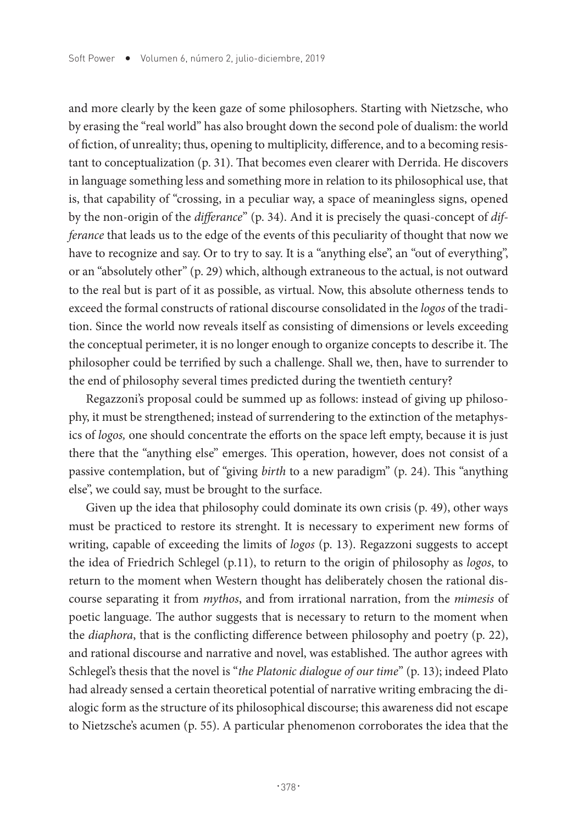and more clearly by the keen gaze of some philosophers. Starting with Nietzsche, who by erasing the "real world" has also brought down the second pole of dualism: the world of fiction, of unreality; thus, opening to multiplicity, difference, and to a becoming resistant to conceptualization (p. 31). That becomes even clearer with Derrida. He discovers in language something less and something more in relation to its philosophical use, that is, that capability of "crossing, in a peculiar way, a space of meaningless signs, opened by the non-origin of the *differance*" (p. 34). And it is precisely the quasi-concept of *differance* that leads us to the edge of the events of this peculiarity of thought that now we have to recognize and say. Or to try to say. It is a "anything else", an "out of everything", or an "absolutely other" (p. 29) which, although extraneous to the actual, is not outward to the real but is part of it as possible, as virtual. Now, this absolute otherness tends to exceed the formal constructs of rational discourse consolidated in the *logos* of the tradition. Since the world now reveals itself as consisting of dimensions or levels exceeding the conceptual perimeter, it is no longer enough to organize concepts to describe it. The philosopher could be terrified by such a challenge. Shall we, then, have to surrender to the end of philosophy several times predicted during the twentieth century?

Regazzoni's proposal could be summed up as follows: instead of giving up philosophy, it must be strengthened; instead of surrendering to the extinction of the metaphysics of *logos,* one should concentrate the efforts on the space left empty, because it is just there that the "anything else" emerges. This operation, however, does not consist of a passive contemplation, but of "giving *birth* to a new paradigm" (p. 24). This "anything else", we could say, must be brought to the surface.

Given up the idea that philosophy could dominate its own crisis (p. 49), other ways must be practiced to restore its strenght. It is necessary to experiment new forms of writing, capable of exceeding the limits of *logos* (p. 13). Regazzoni suggests to accept the idea of Friedrich Schlegel (p.11), to return to the origin of philosophy as *logos*, to return to the moment when Western thought has deliberately chosen the rational discourse separating it from *mythos*, and from irrational narration, from the *mimesis* of poetic language. The author suggests that is necessary to return to the moment when the *diaphora*, that is the conflicting difference between philosophy and poetry (p. 22), and rational discourse and narrative and novel, was established. The author agrees with Schlegel's thesis that the novel is "*the Platonic dialogue of our time*" (p. 13); indeed Plato had already sensed a certain theoretical potential of narrative writing embracing the dialogic form as the structure of its philosophical discourse; this awareness did not escape to Nietzsche's acumen (p. 55). A particular phenomenon corroborates the idea that the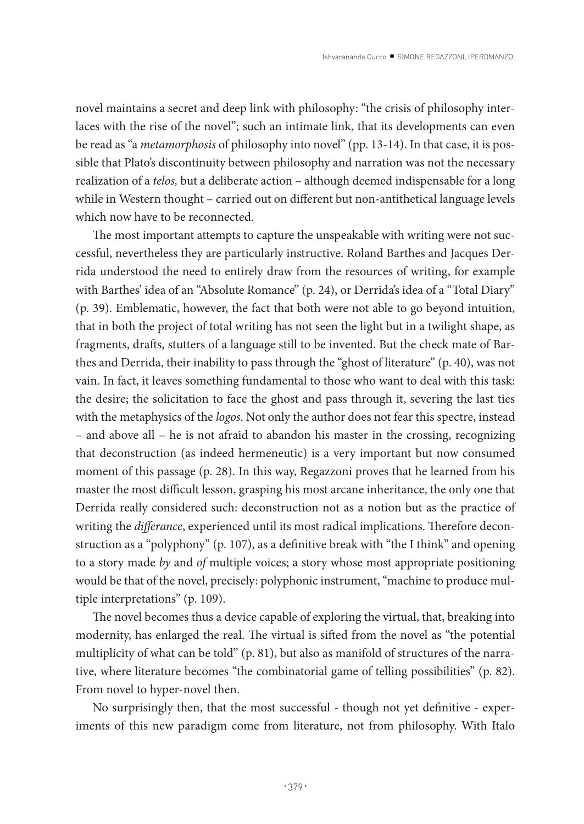novel maintains a secret and deep link with philosophy: "the crisis of philosophy interlaces with the rise of the novel"; such an intimate link, that its developments can even be read as "a *metamorphosis* of philosophy into novel" (pp. 13-14). In that case, it is possible that Plato's discontinuity between philosophy and narration was not the necessary realization of a *telos,* but a deliberate action – although deemed indispensable for a long while in Western thought – carried out on different but non-antithetical language levels which now have to be reconnected.

The most important attempts to capture the unspeakable with writing were not successful, nevertheless they are particularly instructive. Roland Barthes and Jacques Derrida understood the need to entirely draw from the resources of writing, for example with Barthes' idea of an "Absolute Romance" (p. 24), or Derrida's idea of a "Total Diary" (p. 39). Emblematic, however, the fact that both were not able to go beyond intuition, that in both the project of total writing has not seen the light but in a twilight shape, as fragments, drafts, stutters of a language still to be invented. But the check mate of Barthes and Derrida, their inability to pass through the "ghost of literature" (p. 40), was not vain. In fact, it leaves something fundamental to those who want to deal with this task: the desire; the solicitation to face the ghost and pass through it, severing the last ties with the metaphysics of the *logos*. Not only the author does not fear this spectre, instead – and above all – he is not afraid to abandon his master in the crossing, recognizing that deconstruction (as indeed hermeneutic) is a very important but now consumed moment of this passage (p. 28). In this way, Regazzoni proves that he learned from his master the most difficult lesson, grasping his most arcane inheritance, the only one that Derrida really considered such: deconstruction not as a notion but as the practice of writing the *differance*, experienced until its most radical implications. Therefore deconstruction as a "polyphony" (p. 107), as a definitive break with "the I think" and opening to a story made *by* and *of* multiple voices; a story whose most appropriate positioning would be that of the novel, precisely: polyphonic instrument, "machine to produce multiple interpretations" (p. 109).

The novel becomes thus a device capable of exploring the virtual, that, breaking into modernity, has enlarged the real. The virtual is sifted from the novel as "the potential multiplicity of what can be told" (p. 81), but also as manifold of structures of the narrative, where literature becomes "the combinatorial game of telling possibilities" (p. 82). From novel to hyper-novel then.

No surprisingly then, that the most successful - though not yet definitive - experiments of this new paradigm come from literature, not from philosophy. With Italo